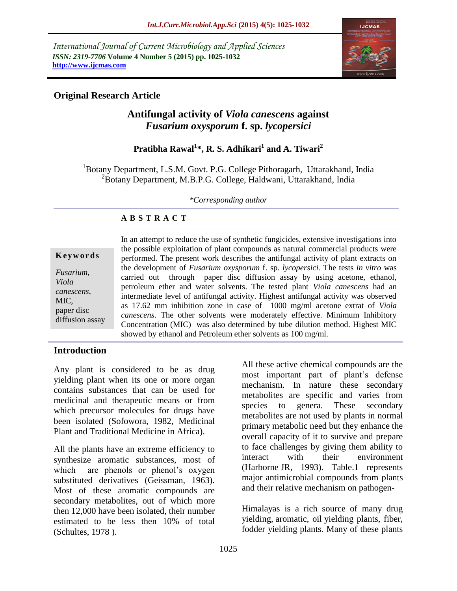*International Journal of Current Microbiology and Applied Sciences ISSN: 2319-7706* **Volume 4 Number 5 (2015) pp. 1025-1032 http://www.ijcmas.com** 



## **Original Research Article**

# **Antifungal activity of** *Viola canescens* **against**  *Fusarium oxysporum* **f. sp.** *lycopersici*

# **Pratibha Rawal<sup>1</sup> \*, R. S. Adhikari<sup>1</sup> and A. Tiwari<sup>2</sup>**

<sup>1</sup>Botany Department, L.S.M. Govt. P.G. College Pithoragarh, Uttarakhand, India <sup>2</sup>Botany Department, M.B.P.G. College, Haldwani, Uttarakhand, India

*\*Corresponding author*

### **A B S T R A C T**

|                                                                                  | In an attempt to reduce the use of synthetic fungicides, extensive investigations into                                                                                                                                                                                                                                                                                                                                                                                                                                                                                                         |
|----------------------------------------------------------------------------------|------------------------------------------------------------------------------------------------------------------------------------------------------------------------------------------------------------------------------------------------------------------------------------------------------------------------------------------------------------------------------------------------------------------------------------------------------------------------------------------------------------------------------------------------------------------------------------------------|
| Keywords                                                                         | the possible exploitation of plant compounds as natural commercial products were<br>performed. The present work describes the antifungal activity of plant extracts on                                                                                                                                                                                                                                                                                                                                                                                                                         |
| <i>Fusarium,</i><br>Viola<br>canescens,<br>MIC,<br>paper disc<br>diffusion assay | the development of <i>Fusarium oxysporum</i> f. sp. <i>lycopersici</i> . The tests in vitro was<br>carried out through paper disc diffusion assay by using acetone, ethanol,<br>petroleum ether and water solvents. The tested plant Viola canescens had an<br>intermediate level of antifungal activity. Highest antifungal activity was observed<br>as 17.62 mm inhibition zone in case of 1000 mg/ml acetone extrat of Viola<br>canescens. The other solvents were moderately effective. Minimum Inhibitory<br>Concentration (MIC) was also determined by tube dilution method. Highest MIC |
|                                                                                  | showed by ethanol and Petroleum ether solvents as 100 mg/ml.                                                                                                                                                                                                                                                                                                                                                                                                                                                                                                                                   |

#### **Introduction**

Any plant is considered to be as drug yielding plant when its one or more organ contains substances that can be used for medicinal and therapeutic means or from which precursor molecules for drugs have been isolated (Sofowora, 1982, Medicinal Plant and Traditional Medicine in Africa).

All the plants have an extreme efficiency to synthesize aromatic substances, most of which are phenols or phenol's oxygen substituted derivatives (Geissman, 1963). Most of these aromatic compounds are secondary metabolites, out of which more then 12,000 have been isolated, their number estimated to be less then 10% of total (Schultes, 1978 ).

All these active chemical compounds are the most important part of plant's defense mechanism. In nature these secondary metabolites are specific and varies from species to genera. These secondary metabolites are not used by plants in normal primary metabolic need but they enhance the overall capacity of it to survive and prepare to face challenges by giving them ability to interact with their environment (Harborne JR, 1993). Table.1 represents major antimicrobial compounds from plants and their relative mechanism on pathogen-

Himalayas is a rich source of many drug yielding, aromatic, oil yielding plants, fiber, fodder yielding plants. Many of these plants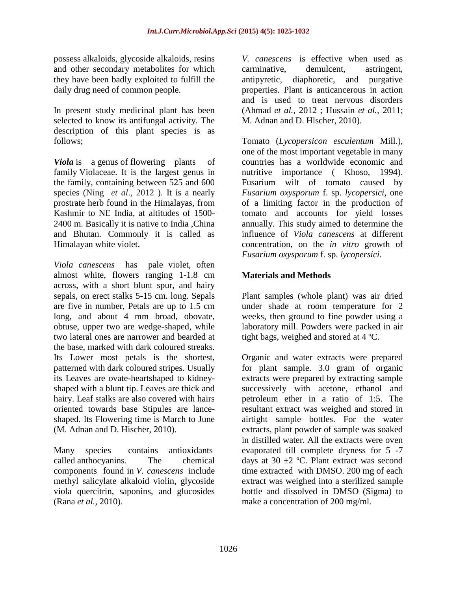possess alkaloids, glycoside alkaloids, resins and other secondary metabolites for which they have been badly exploited to fulfill the daily drug need of common people.

In present study medicinal plant has been selected to know its antifungal activity. The description of this plant species is as follows;

*Viola* is a [genus](http://en.wikipedia.org/wiki/Genus) of [flowering plants](http://en.wikipedia.org/wiki/Flowering_plant) of [family](http://en.wikipedia.org/wiki/Family_(biology)) Violaceae. It is the largest genus in the family, containing between 525 and 600 species (Ning *et al*., 2012 ). It is a nearly prostrate herb found in the Himalayas, from Kashmir to NE India, at altitudes of 1500- 2400 m. Basically it is native to India ,China and Bhutan. Commonly it is called as Himalayan white violet.

*Viola canescens* has pale violet, often almost white, flowers ranging 1-1.8 cm across, with a short blunt spur, and hairy sepals, on erect stalks 5-15 cm. long. Sepals are five in number, Petals are up to 1.5 cm long, and about 4 mm broad, obovate, obtuse, upper two are wedge-shaped, while two lateral ones are narrower and bearded at the base, marked with dark coloured streaks. Its Lower most petals is the shortest, patterned with dark coloured stripes. Usually its Leaves are ovate-heartshaped to kidneyshaped with a blunt tip. Leaves are thick and hairy. Leaf stalks are also covered with hairs oriented towards base Stipules are lanceshaped. Its Flowering time is March to June (M. Adnan and D. Hischer, 2010).

Many species contains [antioxidants](http://en.wikipedia.org/wiki/Antioxidant) called [anthocyanins.](http://en.wikipedia.org/wiki/Anthocyanin) The chemical components found in *V. canescens* include methyl salicylate alkaloid violin, glycoside viola quercitrin, saponins, and glucosides (Rana *et al.,* 2010).

*V. canescens* is effective when used as carminative, demulcent, astringent, antipyretic, diaphoretic, and purgative properties. Plant is anticancerous in action and is used to treat nervous disorders (Ahmad *et al.,* 2012 ; Hussain *et al.,* 2011; M. Adnan and D. Hlscher, 2010).

Tomato (*Lycopersicon esculentum* Mill.), one of the most important vegetable in many countries has a worldwide economic and nutritive importance (Khoso, 1994). Fusarium wilt of tomato caused by *Fusarium oxysporum* f. sp. *lycopersici,* one of a limiting factor in the production of tomato and accounts for yield losses annually. This study aimed to determine the influence of *Viola canescens* at different concentration, on the *in vitro* growth of *Fusarium oxysporum* f. sp. *lycopersici*.

### **Materials and Methods**

Plant samples (whole plant) was air dried under shade at room temperature for 2 weeks, then ground to fine powder using a laboratory mill. Powders were packed in air tight bags, weighed and stored at 4 ºC.

Organic and water extracts were prepared for plant sample. 3.0 gram of organic extracts were prepared by extracting sample successively with acetone, ethanol and petroleum ether in a ratio of 1:5. The resultant extract was weighed and stored in airtight sample bottles. For the water extracts, plant powder of sample was soaked in distilled water. All the extracts were oven evaporated till complete dryness for 5 -7 days at 30  $\pm$ 2 °C. Plant extract was second time extracted with DMSO. 200 mg of each extract was weighed into a sterilized sample bottle and dissolved in DMSO (Sigma) to make a concentration of 200 mg/ml.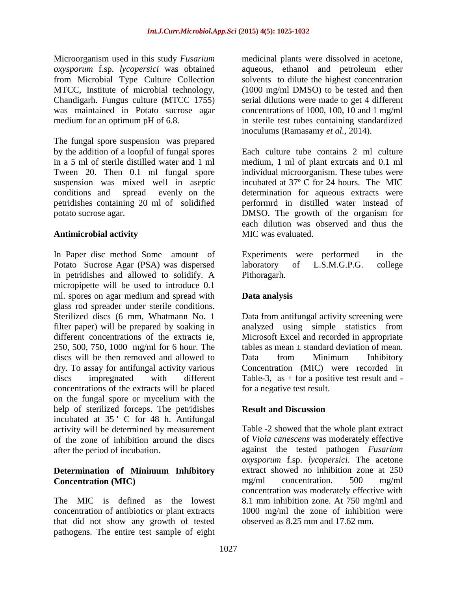Microorganism used in this study *Fusarium oxysporum* f.sp. *lycopersici* was obtained from Microbial Type Culture Collection MTCC, Institute of microbial technology, Chandigarh. Fungus culture (MTCC 1755) was maintained in Potato sucrose agar medium for an optimum pH of 6.8.

The fungal spore suspension was prepared by the addition of a loopful of fungal spores in a 5 ml of sterile distilled water and 1 ml Tween 20. Then 0.1 ml fungal spore suspension was mixed well in aseptic conditions and spread evenly on the petridishes containing 20 ml of solidified potato sucrose agar.

#### **Antimicrobial activity**

In Paper disc method Some amount of Potato Sucrose Agar (PSA) was dispersed in petridishes and allowed to solidify. A micropipette will be used to introduce 0.1 ml. spores on agar medium and spread with glass rod spreader under sterile conditions. Sterilized discs (6 mm, Whatmann No. 1 filter paper) will be prepared by soaking in different concentrations of the extracts ie, 250, 500, 750, 1000 mg/ml for 6 hour. The discs will be then removed and allowed to dry. To assay for antifungal activity various discs impregnated with different concentrations of the extracts will be placed on the fungal spore or mycelium with the help of sterilized forceps. The petridishes incubated at 35 °C for 48 h. Antifungal activity will be determined by measurement of the zone of inhibition around the discs after the period of incubation.

#### **Determination of Minimum Inhibitory Concentration (MIC)**

The MIC is defined as the lowest concentration of antibiotics or plant extracts that did not show any growth of tested pathogens. The entire test sample of eight

medicinal plants were dissolved in acetone, aqueous, ethanol and petroleum ether solvents to dilute the highest concentration (1000 mg/ml DMSO) to be tested and then serial dilutions were made to get 4 different concentrations of 1000, 100, 10 and 1 mg/ml in sterile test tubes containing standardized inoculums (Ramasamy *et al.,* 2014).

Each culture tube contains 2 ml culture medium, 1 ml of plant extrcats and 0.1 ml individual microorganism. These tubes were incubated at 37º C for 24 hours. The MIC determination for aqueous extracts were performrd in distilled water instead of DMSO. The growth of the organism for each dilution was observed and thus the MIC was evaluated.

Experiments were performed in the<br>laboratory of L.S.M.G.P.G. college laboratory of L.S.M.G.P.G. college Pithoragarh.

## **Data analysis**

Data from antifungal activity screening were analyzed using simple statistics from Microsoft Excel and recorded in appropriate tables as mean  $\pm$  standard deviation of mean. Data from Minimum Inhibitory Concentration (MIC) were recorded in Table-3, as  $+$  for a positive test result and for a negative test result.

## **Result and Discussion**

Table -2 showed that the whole plant extract of *Viola canescens* was moderately effective against the tested pathogen *Fusarium oxysporum* f.sp. *lycopersici*. The acetone extract showed no inhibition zone at 250 mg/ml concentration. 500 mg/ml concentration was moderately effective with 8.1 mm inhibition zone. At 750 mg/ml and 1000 mg/ml the zone of inhibition were observed as 8.25 mm and 17.62 mm.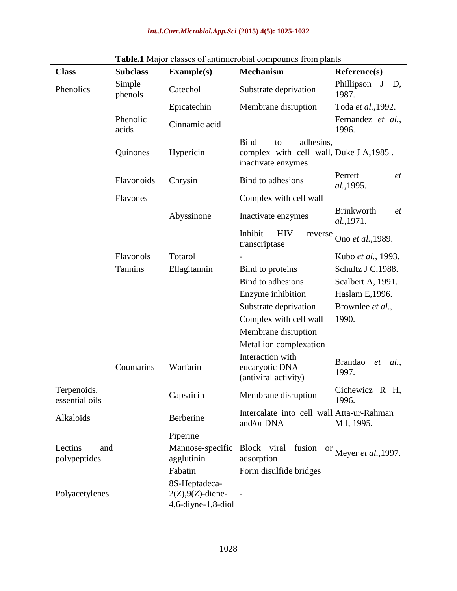|                                | Table.1 Major classes of antimicrobial compounds from plants |                                                                |                                                                                                 |                                              |  |  |  |
|--------------------------------|--------------------------------------------------------------|----------------------------------------------------------------|-------------------------------------------------------------------------------------------------|----------------------------------------------|--|--|--|
| <b>Class</b>                   | <b>Subclass</b>                                              | <b>Example(s)</b>                                              | <b>Mechanism</b>                                                                                | <b>Reference(s)</b>                          |  |  |  |
| Phenolics                      | Simple<br>phenols                                            | Catechol                                                       | Substrate deprivation                                                                           | Phillipson<br>J<br>D,<br>1987.               |  |  |  |
|                                |                                                              | Epicatechin                                                    | Membrane disruption                                                                             | Toda et al., 1992.                           |  |  |  |
|                                | Phenolic<br>acids                                            | Cinnamic acid                                                  |                                                                                                 | Fernandez et al.,<br>1996.                   |  |  |  |
|                                | Quinones                                                     | Hypericin                                                      | <b>Bind</b><br>adhesins,<br>to<br>complex with cell wall, Duke J A, 1985.<br>inactivate enzymes |                                              |  |  |  |
|                                | Flavonoids                                                   | Chrysin                                                        | Bind to adhesions                                                                               | Perrett<br>et<br>al., 1995.                  |  |  |  |
|                                | Flavones                                                     |                                                                | Complex with cell wall                                                                          |                                              |  |  |  |
|                                |                                                              | Abyssinone                                                     | Inactivate enzymes                                                                              | <b>Brinkworth</b><br><i>et</i><br>al., 1971. |  |  |  |
|                                |                                                              |                                                                | Inhibit<br><b>HIV</b><br>reverse<br>transcriptase                                               | Ono et al., 1989.                            |  |  |  |
|                                | Flavonols                                                    | Totarol                                                        |                                                                                                 | Kubo et al., 1993.                           |  |  |  |
|                                | Tannins                                                      | Ellagitannin                                                   | Bind to proteins                                                                                | Schultz J C, 1988.                           |  |  |  |
|                                |                                                              |                                                                | Bind to adhesions                                                                               | Scalbert A, 1991.                            |  |  |  |
|                                |                                                              |                                                                | Enzyme inhibition                                                                               | Haslam E,1996.                               |  |  |  |
|                                |                                                              |                                                                | Substrate deprivation                                                                           | Brownlee et al.,                             |  |  |  |
|                                |                                                              |                                                                | Complex with cell wall                                                                          | 1990.                                        |  |  |  |
|                                |                                                              |                                                                | Membrane disruption                                                                             |                                              |  |  |  |
|                                |                                                              |                                                                | Metal ion complexation                                                                          |                                              |  |  |  |
|                                | Coumarins                                                    | Warfarin                                                       | Interaction with<br>eucaryotic DNA<br>(antiviral activity)                                      | <b>Brandao</b><br>al.<br>et<br>1997.         |  |  |  |
| Terpenoids,<br>essential oils  |                                                              | Capsaicin                                                      | Membrane disruption                                                                             | Cichewicz R H,<br>1996.                      |  |  |  |
| Alkaloids                      |                                                              | Berberine                                                      | Intercalate into cell wall Atta-ur-Rahman<br>and/or DNA                                         | M I, 1995.                                   |  |  |  |
|                                |                                                              | Piperine                                                       |                                                                                                 |                                              |  |  |  |
| Lectins<br>and<br>polypeptides |                                                              | Mannose-specific Block viral<br>agglutinin                     | fusion<br><sup>or</sup> Meyer et al., 1997.<br>adsorption                                       |                                              |  |  |  |
|                                |                                                              | Fabatin                                                        | Form disulfide bridges                                                                          |                                              |  |  |  |
| Polyacetylenes                 |                                                              | 8S-Heptadeca-<br>$2(Z), 9(Z)$ -diene-<br>$4,6$ -diyne-1,8-diol |                                                                                                 |                                              |  |  |  |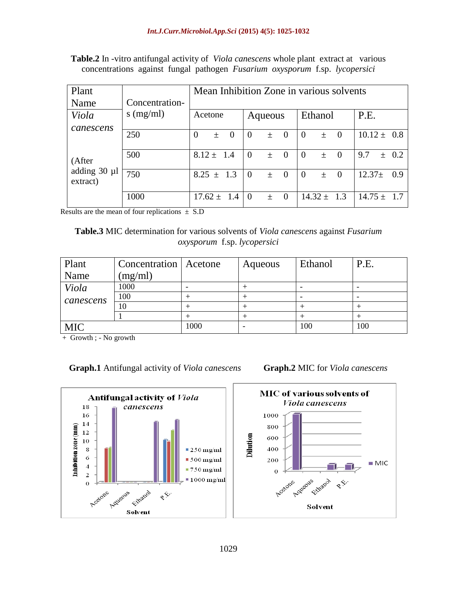| Plant                                           |                | Mean Inhibition Zone in various solvents   |                                |                                     |                  |
|-------------------------------------------------|----------------|--------------------------------------------|--------------------------------|-------------------------------------|------------------|
| Name                                            | Concentration- |                                            |                                |                                     |                  |
| Viola                                           | $s$ (mg/ml)    | Acetone                                    | Aqueous                        | Ethanol                             | P.E.             |
| canescens<br>(After<br>adding 30 µl<br>extract) | 250            | $\overline{0}$<br>$\overline{0}$<br>$^{+}$ | $\theta$<br>$\theta$<br>$^{+}$ | $\Omega$<br>$\overline{0}$<br>$+$   | $10.12 \pm 0.8$  |
|                                                 | 500            | $8.12 \pm 1.4$                             | $\theta$<br>$\theta$<br>$\pm$  | $\Omega$<br>$\overline{0}$<br>$\pm$ | 9.7<br>$\pm$ 0.2 |
|                                                 | 750            | $8.25 \pm 1.3$                             | $\theta$<br>$\theta$<br>$\pm$  | $\Omega$<br>$\theta$<br>$+$         | $12.37+$<br>0.9  |
|                                                 | 1000           | $17.62 \pm$<br>-1.4                        | $\theta$<br>$\theta$<br>$\pm$  | $14.32 \pm$<br>1.3                  | $14.75 \pm 1.7$  |

**Table.2** In -vitro antifungal activity of *Viola canescens* whole plant extract at various concentrations against fungal pathogen *Fusarium oxysporum* f.sp. *lycopersici*

Results are the mean of four replications  $\pm$  S.D

**Table.3** MIC determination for various solvents of *Viola canescens* against *Fusarium oxysporum* f.sp. *lycopersici*

| Plant      | Concentration   Acetone |      | Aqueous | Ethanol | P.E. |
|------------|-------------------------|------|---------|---------|------|
| Name       | (mg/ml)                 |      |         |         |      |
| Viola      | 1000                    |      |         |         |      |
| canescens  | 100                     |      |         |         |      |
|            | 10                      |      |         |         |      |
|            |                         |      |         |         |      |
| <b>MIC</b> |                         | 1000 |         | 100     | 100  |

+ Growth ; - No growth

**Graph.1** Antifungal activity of *Viola canescens* **Graph.2** MIC for *Viola canescens*



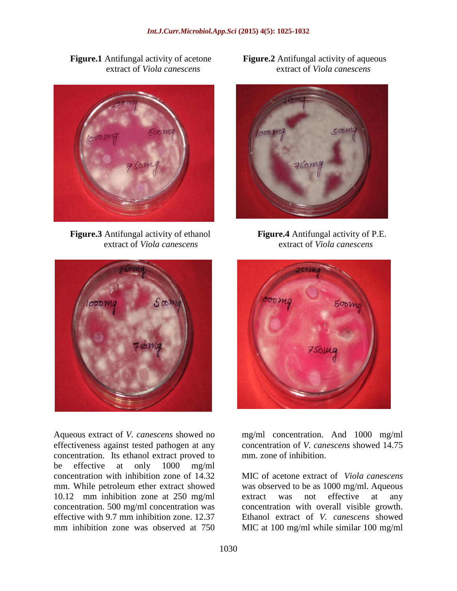

**Figure.3** Antifungal activity of ethanol **Figure.4** Antifungal activity of P.E.



Aqueous extract of *V. canescens* showed no effectiveness against tested pathogen at any concentration. Its ethanol extract proved to be effective at only 1000 mg/ml concentration with inhibition zone of 14.32 mm. While petroleum ether extract showed 10.12 mm inhibition zone at 250 mg/ml concentration. 500 mg/ml concentration was effective with 9.7 mm inhibition zone. 12.37 mm inhibition zone was observed at 750

**Figure.1** Antifungal activity of acetone **Figure.2** Antifungal activity of aqueous extract of *Viola canescens* extract of *Viola canescens*



extract of *Viola canescens* extract of *Viola canescens*



mg/ml concentration. And 1000 mg/ml concentration of *V. canescens* showed 14.75 mm. zone of inhibition.

MIC of acetone extract of *Viola canescens*  was observed to be as 1000 mg/ml. Aqueous extract was not effective at any concentration with overall visible growth. Ethanol extract of *V. canescens* showed MIC at 100 mg/ml while similar 100 mg/ml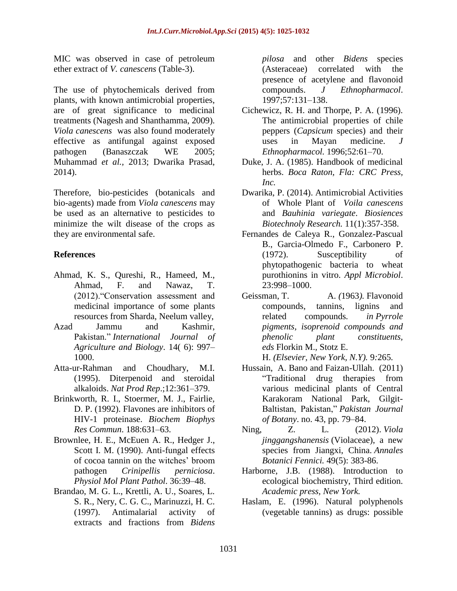MIC was observed in case of petroleum ether extract of *V. canescens* (Table-3).

The use of phytochemicals derived from plants, with known antimicrobial properties, are of great significance to medicinal treatments (Nagesh and Shanthamma, 2009). *Viola canescens* was also found moderately effective as antifungal against exposed pathogen (Banaszczak WE 2005; Muhammad *et al.,* 2013; Dwarika Prasad, 2014).

Therefore, bio-pesticides (botanicals and bio-agents) made from *Viola canescens* may be used as an alternative to pesticides to minimize the wilt disease of the crops as they are environmental safe.

#### **References**

- Ahmad, K. S., Qureshi, R., Hameed, M., Ahmad, F. and Nawaz, T. (2012)."Conservation assessment and medicinal importance of some plants resources from Sharda, Neelum valley,
- Azad Jammu and Kashmir, Pakistan." *International Journal of Agriculture and Biology*. 14( 6): 997– 1000.
- Atta-ur-Rahman and Choudhary, M.I. (1995). Diterpenoid and steroidal alkaloids. *Nat Prod Rep*.;12:361–379.
- Brinkworth, R. I., Stoermer, M. J., Fairlie, D. P. (1992). Flavones are inhibitors of HIV-1 proteinase. *Biochem Biophys Res Commun*. 188:631–63.
- Brownlee, H. E., McEuen A. R., Hedger J., Scott I. M. (1990). Anti-fungal effects of cocoa tannin on the witches' broom pathogen *Crinipellis perniciosa*. *Physiol Mol Plant Pathol*. 36:39–48.
- Brandao, M. G. L., Krettli, A. U., Soares, L. S. R., Nery, C. G. C., Marinuzzi, H. C. (1997). Antimalarial activity of extracts and fractions from *Bidens*

*pilosa* and other *Bidens* species (Asteraceae) correlated with the presence of acetylene and flavonoid compounds. *J Ethnopharmacol*. 1997;57:131–138.

- Cichewicz, R. H. and Thorpe, P. A. (1996). The antimicrobial properties of chile peppers (*Capsicum* species) and their uses in Mayan medicine. *J Ethnopharmacol.* 1996;52:61–70.
- Duke, J. A. (1985). Handbook of medicinal herbs. *Boca Raton, Fla: CRC Press, Inc.*
- Dwarika, P. (2014). Antimicrobial Activities of Whole Plant of *Voila canescens*  and *Bauhinia variegate*. *Biosiences Biotechnoly Research.* 11(1):357-358.
- Fernandes de Caleya R., Gonzalez-Pascual B., Garcia-Olmedo F., Carbonero P. (1972). Susceptibility of phytopathogenic bacteria to wheat purothionins in vitro. *Appl Microbiol*. 23:998–1000.
- Geissman, T. A. *(*1963*).* Flavonoid compounds, tannins, lignins and related compounds*. in Pyrrole pigments, isoprenoid compounds and phenolic plant constituents, eds* Florkin M.*,* Stotz E.

H. *(Elsevier, New York, N.Y).* 9*:*265*.*

- Hussain, A. Bano and Faizan-Ullah. (2011) "Traditional drug therapies from various medicinal plants of Central Karakoram National Park, Gilgit-Baltistan, Pakistan," *Pakistan Journal of Botany*. no. 43, pp. 79–84.
- Ning, Z. L*.* (2012). *[Viola](http://www.annbot.net/PDF/anb49-free/anb49-383i.pdf)  jinggangshanensis* [\(Violaceae\), a new](http://www.annbot.net/PDF/anb49-free/anb49-383i.pdf)  [species from Jiangxi, China.](http://www.annbot.net/PDF/anb49-free/anb49-383i.pdf) *Annales Botanici Fennici.* 49(5): 383-86.
- Harborne, J.B. (1988). Introduction to ecological biochemistry, Third edition. *Academic press, New York.*
- Haslam, E. (1996). Natural polyphenols (vegetable tannins) as drugs: possible